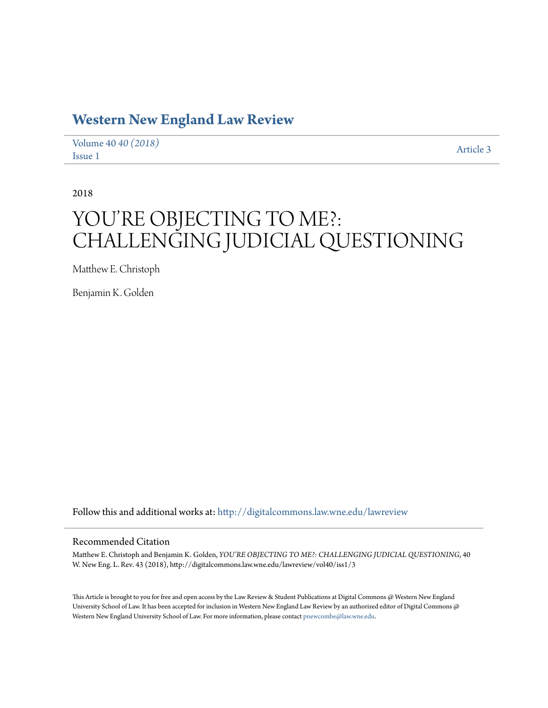## **[Western New England Law Review](http://digitalcommons.law.wne.edu/lawreview?utm_source=digitalcommons.law.wne.edu%2Flawreview%2Fvol40%2Fiss1%2F3&utm_medium=PDF&utm_campaign=PDFCoverPages)**

[Volume 40](http://digitalcommons.law.wne.edu/lawreview/vol40?utm_source=digitalcommons.law.wne.edu%2Flawreview%2Fvol40%2Fiss1%2F3&utm_medium=PDF&utm_campaign=PDFCoverPages) *40 (2018)* Article 3<br>[Issue 1](http://digitalcommons.law.wne.edu/lawreview/vol40/iss1?utm_source=digitalcommons.law.wne.edu%2Flawreview%2Fvol40%2Fiss1%2F3&utm_medium=PDF&utm_campaign=PDFCoverPages)

2018

# YOU'RE OBJECTING TO ME?: CHALLENGING JUDICIAL QUESTIONING

Matthew E. Christoph

Benjamin K. Golden

Follow this and additional works at: [http://digitalcommons.law.wne.edu/lawreview](http://digitalcommons.law.wne.edu/lawreview?utm_source=digitalcommons.law.wne.edu%2Flawreview%2Fvol40%2Fiss1%2F3&utm_medium=PDF&utm_campaign=PDFCoverPages)

#### Recommended Citation

Matthew E. Christoph and Benjamin K. Golden, *YOU'RE OBJECTING TO ME?: CHALLENGING JUDICIAL QUESTIONING*, 40 W. New Eng. L. Rev. 43 (2018), http://digitalcommons.law.wne.edu/lawreview/vol40/iss1/3

This Article is brought to you for free and open access by the Law Review & Student Publications at Digital Commons @ Western New England University School of Law. It has been accepted for inclusion in Western New England Law Review by an authorized editor of Digital Commons  $\omega$ Western New England University School of Law. For more information, please contact [pnewcombe@law.wne.edu.](mailto:pnewcombe@law.wne.edu)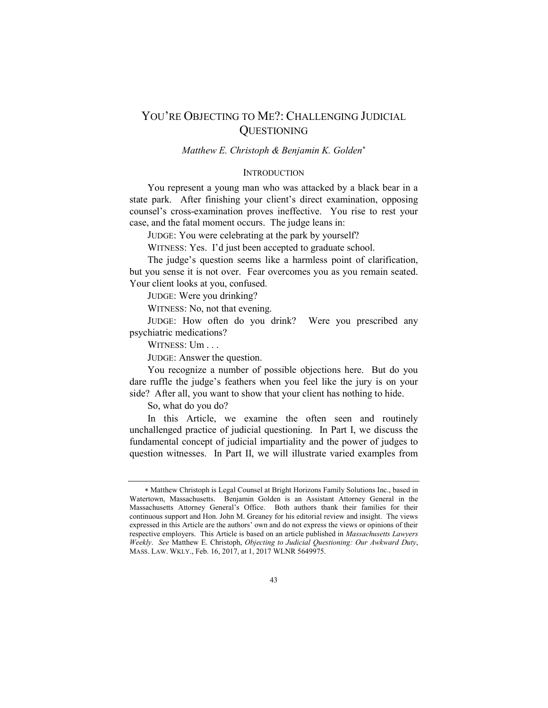### YOU'RE OBJECTING TO ME?: CHALLENGING JUDICIAL **QUESTIONING**

#### Matthew E. Christoph & Benjamin K. Golden\*

#### **INTRODUCTION**

 You represent a young man who was attacked by a black bear in a state park. After finishing your client's direct examination, opposing counsel's cross-examination proves ineffective. You rise to rest your case, and the fatal moment occurs. The judge leans in:

JUDGE: You were celebrating at the park by yourself?

WITNESS: Yes. I'd just been accepted to graduate school.

 The judge's question seems like a harmless point of clarification, but you sense it is not over. Fear overcomes you as you remain seated. Your client looks at you, confused.

JUDGE: Were you drinking?

WITNESS: No, not that evening.

 JUDGE: How often do you drink? Were you prescribed any psychiatric medications?

WITNESS: Um . . .

JUDGE: Answer the question.

 You recognize a number of possible objections here. But do you dare ruffle the judge's feathers when you feel like the jury is on your side? After all, you want to show that your client has nothing to hide.

So, what do you do?

 In this Article, we examine the often seen and routinely unchallenged practice of judicial questioning. In Part I, we discuss the fundamental concept of judicial impartiality and the power of judges to question witnesses. In Part II, we will illustrate varied examples from

 Matthew Christoph is Legal Counsel at Bright Horizons Family Solutions Inc., based in Watertown, Massachusetts. Benjamin Golden is an Assistant Attorney General in the Massachusetts Attorney General's Office. Both authors thank their families for their continuous support and Hon. John M. Greaney for his editorial review and insight. The views expressed in this Article are the authors' own and do not express the views or opinions of their respective employers. This Article is based on an article published in *Massachusetts Lawyers*  Weekly. See Matthew E. Christoph, Objecting to Judicial Questioning: Our Awkward Duty, MASS. LAW. WKLY., Feb. 16, 2017, at 1, 2017 WLNR 5649975.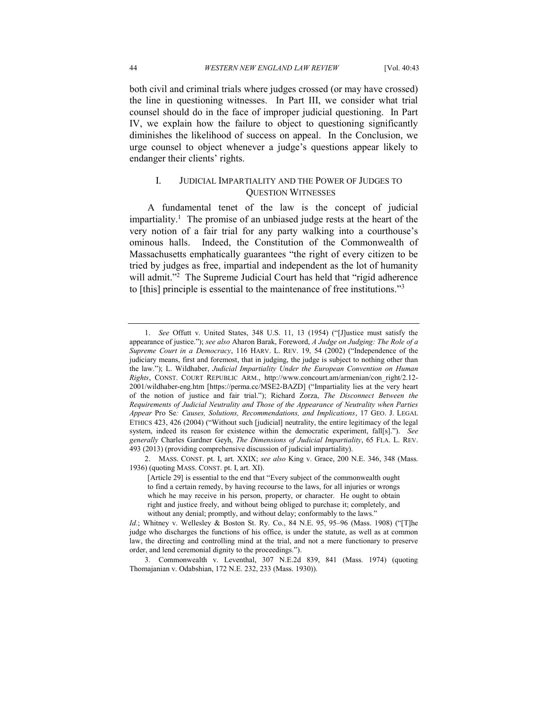both civil and criminal trials where judges crossed (or may have crossed) the line in questioning witnesses. In Part III, we consider what trial counsel should do in the face of improper judicial questioning. In Part IV, we explain how the failure to object to questioning significantly diminishes the likelihood of success on appeal. In the Conclusion, we urge counsel to object whenever a judge's questions appear likely to endanger their clients' rights.

#### I. JUDICIAL IMPARTIALITY AND THE POWER OF JUDGES TO QUESTION WITNESSES

 A fundamental tenet of the law is the concept of judicial impartiality.<sup>1</sup> The promise of an unbiased judge rests at the heart of the very notion of a fair trial for any party walking into a courthouse's ominous halls. Indeed, the Constitution of the Commonwealth of Massachusetts emphatically guarantees "the right of every citizen to be tried by judges as free, impartial and independent as the lot of humanity will admit."<sup>2</sup> The Supreme Judicial Court has held that "rigid adherence to [this] principle is essential to the maintenance of free institutions."3

 1. See Offutt v. United States, 348 U.S. 11, 13 (1954) ("[J]ustice must satisfy the appearance of justice."); see also Aharon Barak, Foreword, A Judge on Judging: The Role of a Supreme Court in a Democracy, 116 HARV. L. REV. 19, 54 (2002) ("Independence of the judiciary means, first and foremost, that in judging, the judge is subject to nothing other than the law."); L. Wildhaber, Judicial Impartiality Under the European Convention on Human Rights, CONST. COURT REPUBLIC ARM., http://www.concourt.am/armenian/con\_right/2.12- 2001/wildhaber-eng.htm [https://perma.cc/MSE2-BAZD] ("Impartiality lies at the very heart of the notion of justice and fair trial."); Richard Zorza, The Disconnect Between the Requirements of Judicial Neutrality and Those of the Appearance of Neutrality when Parties Appear Pro Se: Causes, Solutions, Recommendations, and Implications, 17 GEO. J. LEGAL ETHICS 423, 426 (2004) ("Without such [judicial] neutrality, the entire legitimacy of the legal system, indeed its reason for existence within the democratic experiment, fall[s]."). See generally Charles Gardner Geyh, The Dimensions of Judicial Impartiality, 65 FLA. L. REV. 493 (2013) (providing comprehensive discussion of judicial impartiality).

<sup>2.</sup> MASS. CONST. pt. I, art. XXIX; see also King v. Grace, 200 N.E. 346, 348 (Mass. 1936) (quoting MASS. CONST. pt. I, art. XI).

 [Article 29] is essential to the end that "Every subject of the commonwealth ought to find a certain remedy, by having recourse to the laws, for all injuries or wrongs which he may receive in his person, property, or character. He ought to obtain right and justice freely, and without being obliged to purchase it; completely, and without any denial; promptly, and without delay; conformably to the laws."

 Id.; Whitney v. Wellesley & Boston St. Ry. Co., 84 N.E. 95, 95–96 (Mass. 1908) ("[T]he judge who discharges the functions of his office, is under the statute, as well as at common law, the directing and controlling mind at the trial, and not a mere functionary to preserve order, and lend ceremonial dignity to the proceedings.").

 3. Commonwealth v. Leventhal, 307 N.E.2d 839, 841 (Mass. 1974) (quoting Thomajanian v. Odabshian, 172 N.E. 232, 233 (Mass. 1930)).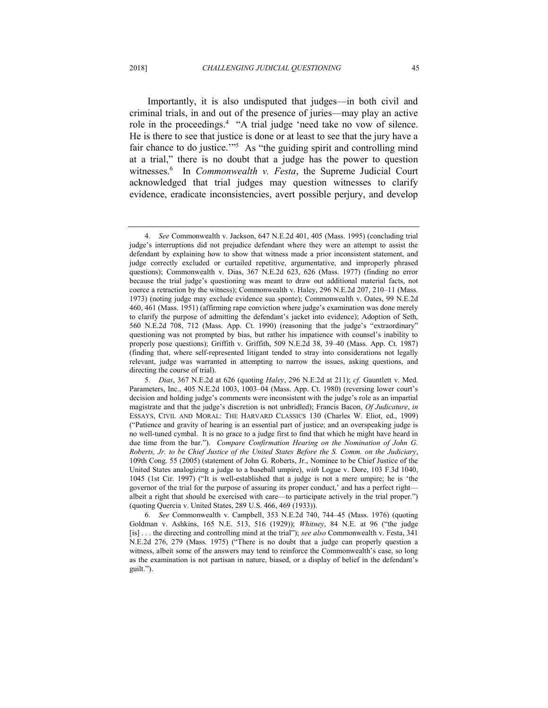Importantly, it is also undisputed that judges—in both civil and criminal trials, in and out of the presence of juries—may play an active role in the proceedings.<sup>4</sup> "A trial judge 'need take no vow of silence. He is there to see that justice is done or at least to see that the jury have a fair chance to do justice."<sup>55</sup> As "the guiding spirit and controlling mind at a trial," there is no doubt that a judge has the power to question witnesses.<sup>6</sup> In Commonwealth v. Festa, the Supreme Judicial Court acknowledged that trial judges may question witnesses to clarify evidence, eradicate inconsistencies, avert possible perjury, and develop

 4. See Commonwealth v. Jackson, 647 N.E.2d 401, 405 (Mass. 1995) (concluding trial judge's interruptions did not prejudice defendant where they were an attempt to assist the defendant by explaining how to show that witness made a prior inconsistent statement, and judge correctly excluded or curtailed repetitive, argumentative, and improperly phrased questions); Commonwealth v. Dias, 367 N.E.2d 623, 626 (Mass. 1977) (finding no error because the trial judge's questioning was meant to draw out additional material facts, not coerce a retraction by the witness); Commonwealth v. Haley, 296 N.E.2d 207, 210–11 (Mass. 1973) (noting judge may exclude evidence sua sponte); Commonwealth v. Oates, 99 N.E.2d 460, 461 (Mass. 1951) (affirming rape conviction where judge's examination was done merely to clarify the purpose of admitting the defendant's jacket into evidence); Adoption of Seth, 560 N.E.2d 708, 712 (Mass. App. Ct. 1990) (reasoning that the judge's "extraordinary" questioning was not prompted by bias, but rather his impatience with counsel's inability to properly pose questions); Griffith v. Griffith, 509 N.E.2d 38, 39–40 (Mass. App. Ct. 1987) (finding that, where self-represented litigant tended to stray into considerations not legally relevant, judge was warranted in attempting to narrow the issues, asking questions, and directing the course of trial).

<sup>5.</sup> Dias, 367 N.E.2d at 626 (quoting *Haley*, 296 N.E.2d at 211); cf. Gauntlett v. Med. Parameters, Inc., 405 N.E.2d 1003, 1003–04 (Mass. App. Ct. 1980) (reversing lower court's decision and holding judge's comments were inconsistent with the judge's role as an impartial magistrate and that the judge's discretion is not unbridled); Francis Bacon, Of Judicature, in ESSAYS, CIVIL AND MORAL: THE HARVARD CLASSICS 130 (Charles W. Eliot, ed., 1909) ("Patience and gravity of hearing is an essential part of justice; and an overspeaking judge is no well-tuned cymbal. It is no grace to a judge first to find that which he might have heard in due time from the bar."). Compare Confirmation Hearing on the Nomination of John G. Roberts, Jr. to be Chief Justice of the United States Before the S. Comm. on the Judiciary, 109th Cong. 55 (2005) (statement of John G. Roberts, Jr., Nominee to be Chief Justice of the United States analogizing a judge to a baseball umpire), with Logue v. Dore, 103 F.3d 1040, 1045 (1st Cir. 1997) ("It is well-established that a judge is not a mere umpire; he is 'the governor of the trial for the purpose of assuring its proper conduct,' and has a perfect right— albeit a right that should be exercised with care—to participate actively in the trial proper.") (quoting Quercia v. United States, 289 U.S. 466, 469 (1933)).

 6. See Commonwealth v. Campbell, 353 N.E.2d 740, 744–45 (Mass. 1976) (quoting Goldman v. Ashkins, 165 N.E. 513, 516 (1929)); Whitney, 84 N.E. at 96 ("the judge [is] . . . the directing and controlling mind at the trial"); see also Commonwealth v. Festa, 341 N.E.2d 276, 279 (Mass. 1975) ("There is no doubt that a judge can properly question a witness, albeit some of the answers may tend to reinforce the Commonwealth's case, so long as the examination is not partisan in nature, biased, or a display of belief in the defendant's guilt.").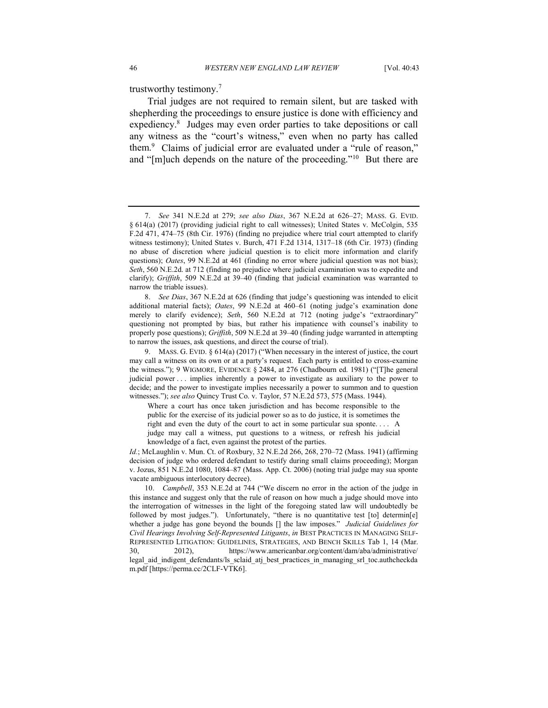trustworthy testimony. $7$ 

 Trial judges are not required to remain silent, but are tasked with shepherding the proceedings to ensure justice is done with efficiency and expediency.<sup>8</sup> Judges may even order parties to take depositions or call any witness as the "court's witness," even when no party has called them. $9$  Claims of judicial error are evaluated under a "rule of reason," and "[m]uch depends on the nature of the proceeding."<sup>10</sup> But there are

8. See Dias, 367 N.E.2d at 626 (finding that judge's questioning was intended to elicit additional material facts); Oates, 99 N.E.2d at 460–61 (noting judge's examination done merely to clarify evidence); Seth, 560 N.E.2d at 712 (noting judge's "extraordinary" questioning not prompted by bias, but rather his impatience with counsel's inability to properly pose questions); Griffith, 509 N.E.2d at 39-40 (finding judge warranted in attempting to narrow the issues, ask questions, and direct the course of trial).

 Where a court has once taken jurisdiction and has become responsible to the public for the exercise of its judicial power so as to do justice, it is sometimes the right and even the duty of the court to act in some particular sua sponte. . . . A judge may call a witness, put questions to a witness, or refresh his judicial knowledge of a fact, even against the protest of the parties.

 Id.; McLaughlin v. Mun. Ct. of Roxbury, 32 N.E.2d 266, 268, 270–72 (Mass. 1941) (affirming decision of judge who ordered defendant to testify during small claims proceeding); Morgan v. Jozus, 851 N.E.2d 1080, 1084–87 (Mass. App. Ct. 2006) (noting trial judge may sua sponte vacate ambiguous interlocutory decree).

 10. Campbell, 353 N.E.2d at 744 ("We discern no error in the action of the judge in this instance and suggest only that the rule of reason on how much a judge should move into the interrogation of witnesses in the light of the foregoing stated law will undoubtedly be followed by most judges."). Unfortunately, "there is no quantitative test [to] determin[e] whether a judge has gone beyond the bounds [] the law imposes." Judicial Guidelines for Civil Hearings Involving Self-Represented Litigants, in BEST PRACTICES IN MANAGING SELF- REPRESENTED LITIGATION: GUIDELINES, STRATEGIES, AND BENCH SKILLS Tab 1, 14 (Mar. 30, 2012), https://www.americanbar.org/content/dam/aba/administrative/ legal\_aid\_indigent\_defendants/ls\_sclaid\_atj\_best\_practices\_in\_managing\_srl\_toc.authcheckda m.pdf [https://perma.cc/2CLF-VTK6].

 7. See 341 N.E.2d at 279; see also Dias, 367 N.E.2d at 626–27; MASS. G. EVID. § 614(a) (2017) (providing judicial right to call witnesses); United States v. McColgin, 535 F.2d 471, 474–75 (8th Cir. 1976) (finding no prejudice where trial court attempted to clarify witness testimony); United States v. Burch, 471 F.2d 1314, 1317–18 (6th Cir. 1973) (finding no abuse of discretion where judicial question is to elicit more information and clarify questions); Oates, 99 N.E.2d at 461 (finding no error where judicial question was not bias); Seth, 560 N.E.2d. at 712 (finding no prejudice where judicial examination was to expedite and clarify); Griffith, 509 N.E.2d at 39–40 (finding that judicial examination was warranted to narrow the triable issues).

 9. MASS. G. EVID. § 614(a) (2017) ("When necessary in the interest of justice, the court may call a witness on its own or at a party's request. Each party is entitled to cross-examine the witness."); 9 WIGMORE, EVIDENCE § 2484, at 276 (Chadbourn ed. 1981) ("[T]he general judicial power . . . implies inherently a power to investigate as auxiliary to the power to decide; and the power to investigate implies necessarily a power to summon and to question witnesses."); see also Quincy Trust Co. v. Taylor, 57 N.E.2d 573, 575 (Mass. 1944).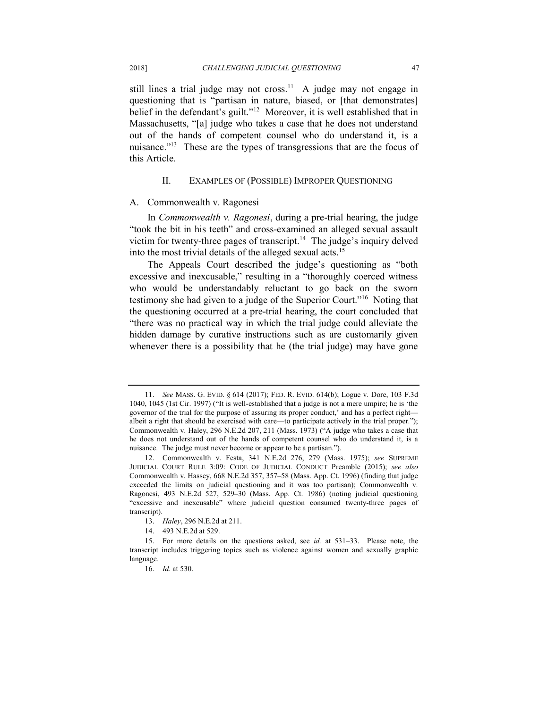still lines a trial judge may not cross.<sup>11</sup> A judge may not engage in questioning that is "partisan in nature, biased, or [that demonstrates] belief in the defendant's guilt."<sup>12</sup> Moreover, it is well established that in Massachusetts, "[a] judge who takes a case that he does not understand out of the hands of competent counsel who do understand it, is a nuisance."<sup>13</sup> These are the types of transgressions that are the focus of this Article.

#### II. EXAMPLES OF (POSSIBLE) IMPROPER QUESTIONING

#### A. Commonwealth v. Ragonesi

In Commonwealth v. Ragonesi, during a pre-trial hearing, the judge "took the bit in his teeth" and cross-examined an alleged sexual assault victim for twenty-three pages of transcript.<sup>14</sup> The judge's inquiry delved into the most trivial details of the alleged sexual acts.<sup>15</sup>

 The Appeals Court described the judge's questioning as "both excessive and inexcusable," resulting in a "thoroughly coerced witness who would be understandably reluctant to go back on the sworn testimony she had given to a judge of the Superior Court."<sup>16</sup> Noting that the questioning occurred at a pre-trial hearing, the court concluded that "there was no practical way in which the trial judge could alleviate the hidden damage by curative instructions such as are customarily given whenever there is a possibility that he (the trial judge) may have gone

 11. See MASS. G. EVID. § 614 (2017); FED. R. EVID. 614(b); Logue v. Dore, 103 F.3d 1040, 1045 (1st Cir. 1997) ("It is well-established that a judge is not a mere umpire; he is 'the governor of the trial for the purpose of assuring its proper conduct,' and has a perfect right— albeit a right that should be exercised with care—to participate actively in the trial proper."); Commonwealth v. Haley, 296 N.E.2d 207, 211 (Mass. 1973) ("A judge who takes a case that he does not understand out of the hands of competent counsel who do understand it, is a nuisance. The judge must never become or appear to be a partisan.").

 12. Commonwealth v. Festa, 341 N.E.2d 276, 279 (Mass. 1975); see SUPREME JUDICIAL COURT RULE 3:09: CODE OF JUDICIAL CONDUCT Preamble (2015); see also Commonwealth v. Hassey, 668 N.E.2d 357, 357–58 (Mass. App. Ct. 1996) (finding that judge exceeded the limits on judicial questioning and it was too partisan); Commonwealth v. Ragonesi, 493 N.E.2d 527, 529–30 (Mass. App. Ct. 1986) (noting judicial questioning "excessive and inexcusable" where judicial question consumed twenty-three pages of transcript).

<sup>13.</sup> Haley, 296 N.E.2d at 211.

<sup>14. 493</sup> N.E.2d at 529.

 15. For more details on the questions asked, see id. at 531–33. Please note, the transcript includes triggering topics such as violence against women and sexually graphic language.

<sup>16.</sup> *Id.* at 530.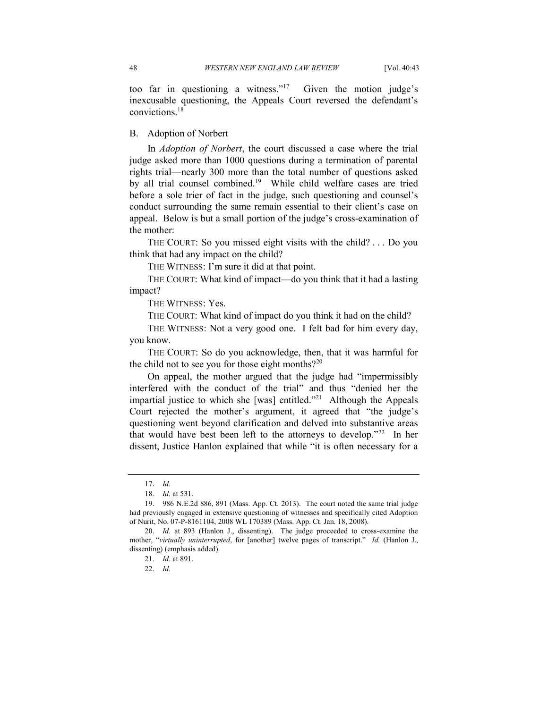too far in questioning a witness."<sup>17</sup> Given the motion judge's inexcusable questioning, the Appeals Court reversed the defendant's convictions.18

#### B. Adoption of Norbert

In Adoption of Norbert, the court discussed a case where the trial judge asked more than 1000 questions during a termination of parental rights trial—nearly 300 more than the total number of questions asked by all trial counsel combined.<sup>19</sup> While child welfare cases are tried before a sole trier of fact in the judge, such questioning and counsel's conduct surrounding the same remain essential to their client's case on appeal. Below is but a small portion of the judge's cross-examination of the mother:

 THE COURT: So you missed eight visits with the child? . . . Do you think that had any impact on the child?

THE WITNESS: I'm sure it did at that point.

 THE COURT: What kind of impact—do you think that it had a lasting impact?

THE WITNESS: Yes.

THE COURT: What kind of impact do you think it had on the child?

 THE WITNESS: Not a very good one. I felt bad for him every day, you know.

 THE COURT: So do you acknowledge, then, that it was harmful for the child not to see you for those eight months? $2^{20}$ 

 On appeal, the mother argued that the judge had "impermissibly interfered with the conduct of the trial" and thus "denied her the impartial justice to which she [was] entitled. $"^{21}$  Although the Appeals Court rejected the mother's argument, it agreed that "the judge's questioning went beyond clarification and delved into substantive areas that would have best been left to the attorneys to develop."<sup>22</sup> In her dissent, Justice Hanlon explained that while "it is often necessary for a

<sup>17.</sup> *Id.* 

<sup>18.</sup> *Id.* at 531.

 19. 986 N.E.2d 886, 891 (Mass. App. Ct. 2013). The court noted the same trial judge had previously engaged in extensive questioning of witnesses and specifically cited Adoption of Nurit, No. 07-P-8161104, 2008 WL 170389 (Mass. App. Ct. Jan. 18, 2008).

 20. Id. at 893 (Hanlon J., dissenting). The judge proceeded to cross-examine the mother, "virtually uninterrupted, for [another] twelve pages of transcript." Id. (Hanlon J., dissenting) (emphasis added).

<sup>21.</sup> *Id.* at 891.

<sup>22.</sup> *Id.*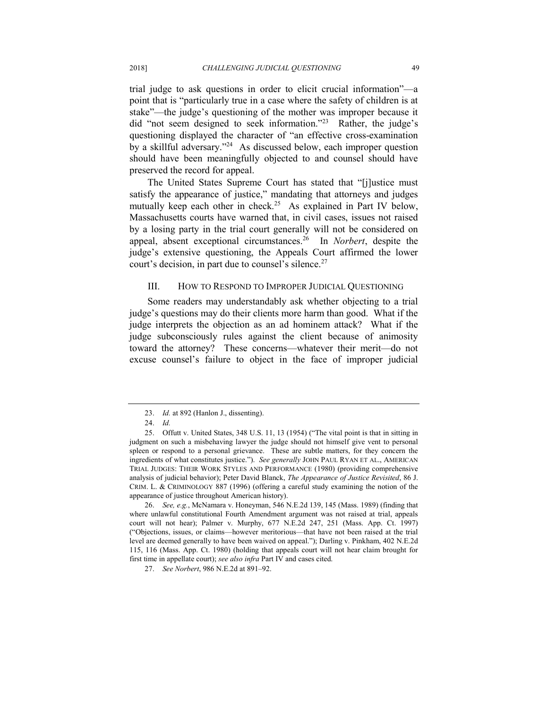trial judge to ask questions in order to elicit crucial information"—a point that is "particularly true in a case where the safety of children is at stake"—the judge's questioning of the mother was improper because it did "not seem designed to seek information."<sup>23</sup> Rather, the judge's questioning displayed the character of "an effective cross-examination by a skillful adversary."<sup>24</sup> As discussed below, each improper question should have been meaningfully objected to and counsel should have preserved the record for appeal.

 The United States Supreme Court has stated that "[j]ustice must satisfy the appearance of justice," mandating that attorneys and judges mutually keep each other in check.<sup>25</sup> As explained in Part IV below, Massachusetts courts have warned that, in civil cases, issues not raised by a losing party in the trial court generally will not be considered on appeal, absent exceptional circumstances.<sup>26</sup> In *Norbert*, despite the judge's extensive questioning, the Appeals Court affirmed the lower court's decision, in part due to counsel's silence.<sup>27</sup>

#### III. HOW TO RESPOND TO IMPROPER JUDICIAL QUESTIONING

 Some readers may understandably ask whether objecting to a trial judge's questions may do their clients more harm than good. What if the judge interprets the objection as an ad hominem attack? What if the judge subconsciously rules against the client because of animosity toward the attorney? These concerns—whatever their merit—do not excuse counsel's failure to object in the face of improper judicial

<sup>23.</sup> *Id.* at 892 (Hanlon J., dissenting).

 24. Id.

 25. Offutt v. United States, 348 U.S. 11, 13 (1954) ("The vital point is that in sitting in judgment on such a misbehaving lawyer the judge should not himself give vent to personal spleen or respond to a personal grievance. These are subtle matters, for they concern the ingredients of what constitutes justice."). See generally JOHN PAUL RYAN ET AL., AMERICAN TRIAL JUDGES: THEIR WORK STYLES AND PERFORMANCE (1980) (providing comprehensive analysis of judicial behavior); Peter David Blanck, The Appearance of Justice Revisited, 86 J. CRIM. L. & CRIMINOLOGY 887 (1996) (offering a careful study examining the notion of the appearance of justice throughout American history).

 26. See, e.g., McNamara v. Honeyman, 546 N.E.2d 139, 145 (Mass. 1989) (finding that where unlawful constitutional Fourth Amendment argument was not raised at trial, appeals court will not hear); Palmer v. Murphy, 677 N.E.2d 247, 251 (Mass. App. Ct. 1997) ("Objections, issues, or claims—however meritorious—that have not been raised at the trial level are deemed generally to have been waived on appeal."); Darling v. Pinkham, 402 N.E.2d 115, 116 (Mass. App. Ct. 1980) (holding that appeals court will not hear claim brought for first time in appellate court); see also infra Part IV and cases cited.

 27. See Norbert, 986 N.E.2d at 891–92.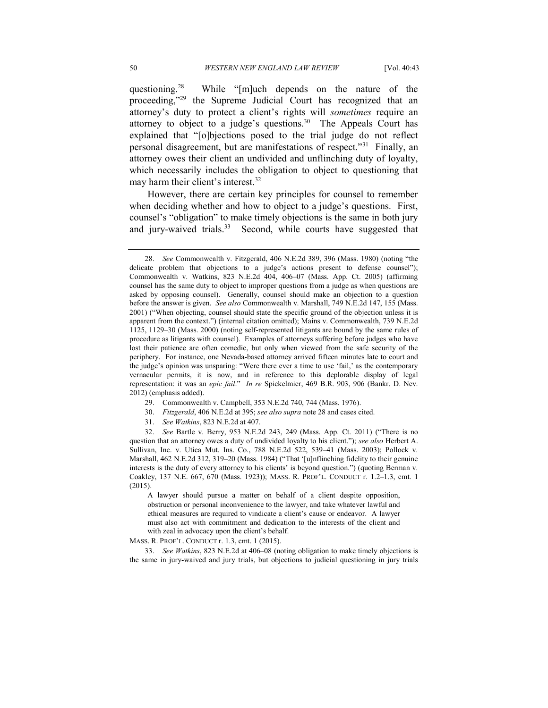questioning.<sup>28</sup> proceeding,"<sup>29</sup> the Supreme Judicial Court has recognized that an attorney's duty to protect a client's rights will sometimes require an attorney to object to a judge's questions.<sup>30</sup> The Appeals Court has explained that "[o]bjections posed to the trial judge do not reflect personal disagreement, but are manifestations of respect."<sup>31</sup> Finally, an attorney owes their client an undivided and unflinching duty of loyalty, which necessarily includes the obligation to object to questioning that may harm their client's interest.<sup>32</sup> While "[m]uch depends on the nature of the

 However, there are certain key principles for counsel to remember when deciding whether and how to object to a judge's questions. First, counsel's "obligation" to make timely objections is the same in both jury and jury-waived trials.<sup>33</sup> Second, while courts have suggested that

- 29. Commonwealth v. Campbell, 353 N.E.2d 740, 744 (Mass. 1976).
- 30. Fitzgerald, 406 N.E.2d at 395; see also supra note 28 and cases cited.
- 31. See Watkins, 823 N.E.2d at 407.

question that an attorney owes a duty of undivided loyalty to his client."); see also Herbert A. Sullivan, Inc. v. Utica Mut. Ins. Co., 788 N.E.2d 522, 539–41 (Mass. 2003); Pollock v. Marshall, 462 N.E.2d 312, 319–20 (Mass. 1984) ("That '[u]nflinching fidelity to their genuine interests is the duty of every attorney to his clients' is beyond question.") (quoting Berman v. Coakley, 137 N.E. 667, 670 (Mass. 1923)); MASS. R. PROF'L. CONDUCT r. 1.2–1.3, cmt. 1 32. See Bartle v. Berry, 953 N.E.2d 243, 249 (Mass. App. Ct. 2011) ("There is no (2015).

 A lawyer should pursue a matter on behalf of a client despite opposition, obstruction or personal inconvenience to the lawyer, and take whatever lawful and ethical measures are required to vindicate a client's cause or endeavor. A lawyer must also act with commitment and dedication to the interests of the client and with zeal in advocacy upon the client's behalf.

MASS. R. PROF'L. CONDUCT r. 1.3, cmt. 1 (2015).

 33. See Watkins, 823 N.E.2d at 406–08 (noting obligation to make timely objections is the same in jury-waived and jury trials, but objections to judicial questioning in jury trials

 28. See Commonwealth v. Fitzgerald, 406 N.E.2d 389, 396 (Mass. 1980) (noting "the delicate problem that objections to a judge's actions present to defense counsel"); Commonwealth v. Watkins, 823 N.E.2d 404, 406–07 (Mass. App. Ct. 2005) (affirming counsel has the same duty to object to improper questions from a judge as when questions are asked by opposing counsel). Generally, counsel should make an objection to a question before the answer is given. See also Commonwealth v. Marshall, 749 N.E.2d 147, 155 (Mass. 2001) ("When objecting, counsel should state the specific ground of the objection unless it is apparent from the context.") (internal citation omitted); Mains v. Commonwealth, 739 N.E.2d 1125, 1129–30 (Mass. 2000) (noting self-represented litigants are bound by the same rules of procedure as litigants with counsel). Examples of attorneys suffering before judges who have lost their patience are often comedic, but only when viewed from the safe security of the periphery. For instance, one Nevada-based attorney arrived fifteen minutes late to court and the judge's opinion was unsparing: "Were there ever a time to use 'fail,' as the contemporary vernacular permits, it is now, and in reference to this deplorable display of legal representation: it was an epic fail." In re Spickelmier, 469 B.R. 903, 906 (Bankr. D. Nev. 2012) (emphasis added).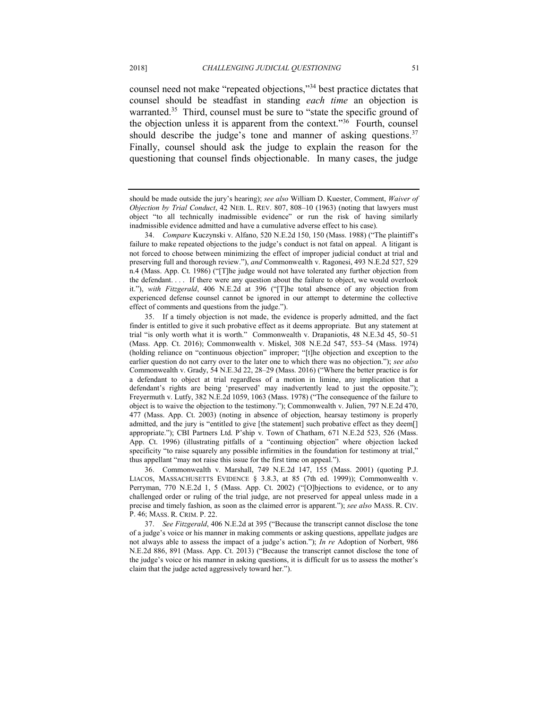counsel need not make "repeated objections,"<sup>34</sup> best practice dictates that counsel should be steadfast in standing each time an objection is warranted.<sup>35</sup> Third, counsel must be sure to "state the specific ground of the objection unless it is apparent from the context."<sup>36</sup> Fourth, counsel should describe the judge's tone and manner of asking questions. $37$  Finally, counsel should ask the judge to explain the reason for the questioning that counsel finds objectionable. In many cases, the judge

should be made outside the jury's hearing); see also William D. Kuester, Comment, Waiver of Objection by Trial Conduct, 42 NEB. L. REV. 807, 808–10 (1963) (noting that lawyers must object "to all technically inadmissible evidence" or run the risk of having similarly inadmissible evidence admitted and have a cumulative adverse effect to his case).

 34. Compare Kuczynski v. Alfano, 520 N.E.2d 150, 150 (Mass. 1988) ("The plaintiff's failure to make repeated objections to the judge's conduct is not fatal on appeal. A litigant is not forced to choose between minimizing the effect of improper judicial conduct at trial and preserving full and thorough review."), and Commonwealth v. Ragonesi, 493 N.E.2d 527, 529 n.4 (Mass. App. Ct. 1986) ("[T]he judge would not have tolerated any further objection from the defendant. . . . If there were any question about the failure to object, we would overlook it."), with Fitzgerald, 406 N.E.2d at 396 ("[T]he total absence of any objection from experienced defense counsel cannot be ignored in our attempt to determine the collective effect of comments and questions from the judge.").

 35. If a timely objection is not made, the evidence is properly admitted, and the fact finder is entitled to give it such probative effect as it deems appropriate. But any statement at trial "is only worth what it is worth." Commonwealth v. Drapaniotis, 48 N.E.3d 45, 50–51 (Mass. App. Ct. 2016); Commonwealth v. Miskel, 308 N.E.2d 547, 553–54 (Mass. 1974) (holding reliance on "continuous objection" improper; "[t]he objection and exception to the earlier question do not carry over to the later one to which there was no objection."); see also Commonwealth v. Grady, 54 N.E.3d 22, 28–29 (Mass. 2016) ("Where the better practice is for a defendant to object at trial regardless of a motion in limine, any implication that a defendant's rights are being 'preserved' may inadvertently lead to just the opposite."); Freyermuth v. Lutfy, 382 N.E.2d 1059, 1063 (Mass. 1978) ("The consequence of the failure to object is to waive the objection to the testimony."); Commonwealth v. Julien, 797 N.E.2d 470, 477 (Mass. App. Ct. 2003) (noting in absence of objection, hearsay testimony is properly admitted, and the jury is "entitled to give [the statement] such probative effect as they deem[] appropriate."); CBI Partners Ltd. P'ship v. Town of Chatham, 671 N.E.2d 523, 526 (Mass. App. Ct. 1996) (illustrating pitfalls of a "continuing objection" where objection lacked specificity "to raise squarely any possible infirmities in the foundation for testimony at trial," thus appellant "may not raise this issue for the first time on appeal.").

 36. Commonwealth v. Marshall, 749 N.E.2d 147, 155 (Mass. 2001) (quoting P.J. LIACOS, MASSACHUSETTS EVIDENCE § 3.8.3, at 85 (7th ed. 1999)); Commonwealth v. Perryman, 770 N.E.2d 1, 5 (Mass. App. Ct. 2002) ("[O]bjections to evidence, or to any challenged order or ruling of the trial judge, are not preserved for appeal unless made in a precise and timely fashion, as soon as the claimed error is apparent."); see also MASS. R. CIV. P. 46; MASS. R. CRIM. P. 22.

<sup>37.</sup> See Fitzgerald, 406 N.E.2d at 395 ("Because the transcript cannot disclose the tone of a judge's voice or his manner in making comments or asking questions, appellate judges are not always able to assess the impact of a judge's action."); In re Adoption of Norbert, 986 N.E.2d 886, 891 (Mass. App. Ct. 2013) ("Because the transcript cannot disclose the tone of the judge's voice or his manner in asking questions, it is difficult for us to assess the mother's claim that the judge acted aggressively toward her.").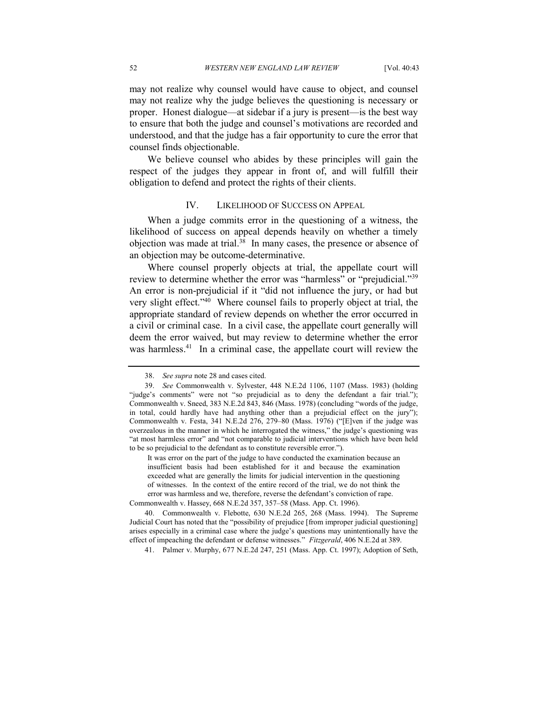may not realize why counsel would have cause to object, and counsel proper. Honest dialogue—at sidebar if a jury is present—is the best way to ensure that both the judge and counsel's motivations are recorded and understood, and that the judge has a fair opportunity to cure the error that counsel finds objectionable. may not realize why the judge believes the questioning is necessary or

 We believe counsel who abides by these principles will gain the respect of the judges they appear in front of, and will fulfill their obligation to defend and protect the rights of their clients.

#### IV. LIKELIHOOD OF SUCCESS ON APPEAL

 When a judge commits error in the questioning of a witness, the likelihood of success on appeal depends heavily on whether a timely objection was made at trial.<sup>38</sup> In many cases, the presence or absence of an objection may be outcome-determinative.

 Where counsel properly objects at trial, the appellate court will review to determine whether the error was "harmless" or "prejudicial."<sup>39</sup> An error is non-prejudicial if it "did not influence the jury, or had but very slight effect."<sup>40</sup> Where counsel fails to properly object at trial, the appropriate standard of review depends on whether the error occurred in a civil or criminal case. In a civil case, the appellate court generally will deem the error waived, but may review to determine whether the error was harmless.<sup>41</sup> In a criminal case, the appellate court will review the

 It was error on the part of the judge to have conducted the examination because an insufficient basis had been established for it and because the examination exceeded what are generally the limits for judicial intervention in the questioning of witnesses. In the context of the entire record of the trial, we do not think the error was harmless and we, therefore, reverse the defendant's conviction of rape.

Commonwealth v. Hassey, 668 N.E.2d 357, 357–58 (Mass. App. Ct. 1996).

 40. Commonwealth v. Flebotte, 630 N.E.2d 265, 268 (Mass. 1994). The Supreme Judicial Court has noted that the "possibility of prejudice [from improper judicial questioning] arises especially in a criminal case where the judge's questions may unintentionally have the effect of impeaching the defendant or defense witnesses." Fitzgerald, 406 N.E.2d at 389.

41. Palmer v. Murphy, 677 N.E.2d 247, 251 (Mass. App. Ct. 1997); Adoption of Seth,

<sup>38.</sup> See supra note 28 and cases cited.

 39. See Commonwealth v. Sylvester, 448 N.E.2d 1106, 1107 (Mass. 1983) (holding "judge's comments" were not "so prejudicial as to deny the defendant a fair trial."); Commonwealth v. Sneed, 383 N.E.2d 843, 846 (Mass. 1978) (concluding "words of the judge, in total, could hardly have had anything other than a prejudicial effect on the jury"); overzealous in the manner in which he interrogated the witness," the judge's questioning was "at most harmless error" and "not comparable to judicial interventions which have been held to be so prejudicial to the defendant as to constitute reversible error."). Commonwealth v. Festa, 341 N.E.2d 276, 279–80 (Mass. 1976) ("[E]ven if the judge was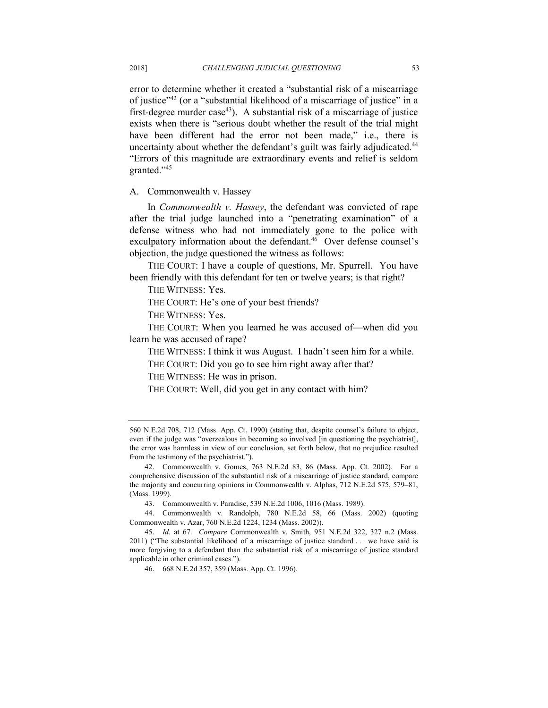error to determine whether it created a "substantial risk of a miscarriage of justice"42 (or a "substantial likelihood of a miscarriage of justice" in a first-degree murder case<sup>43</sup>). A substantial risk of a miscarriage of justice exists when there is "serious doubt whether the result of the trial might have been different had the error not been made," i.e., there is uncertainty about whether the defendant's guilt was fairly adjudicated.<sup>44</sup> "Errors of this magnitude are extraordinary events and relief is seldom granted."45

#### A. Commonwealth v. Hassey

In Commonwealth v. Hassey, the defendant was convicted of rape after the trial judge launched into a "penetrating examination" of a defense witness who had not immediately gone to the police with exculpatory information about the defendant.<sup>46</sup> Over defense counsel's objection, the judge questioned the witness as follows:

 THE COURT: I have a couple of questions, Mr. Spurrell. You have been friendly with this defendant for ten or twelve years; is that right?

THE WITNESS: Yes.

THE COURT: He's one of your best friends?

THE WITNESS: Yes.

 THE COURT: When you learned he was accused of—when did you learn he was accused of rape?

THE WITNESS: I think it was August. I hadn't seen him for a while.

THE COURT: Did you go to see him right away after that?

THE WITNESS: He was in prison.

THE COURT: Well, did you get in any contact with him?

 44. Commonwealth v. Randolph, 780 N.E.2d 58, 66 (Mass. 2002) (quoting Commonwealth v. Azar, 760 N.E.2d 1224, 1234 (Mass. 2002)).

45. Id. at 67. Compare Commonwealth v. Smith, 951 N.E.2d 322, 327 n.2 (Mass. 2011) ("The substantial likelihood of a miscarriage of justice standard . . . we have said is more forgiving to a defendant than the substantial risk of a miscarriage of justice standard applicable in other criminal cases.").

46. 668 N.E.2d 357, 359 (Mass. App. Ct. 1996).

 560 N.E.2d 708, 712 (Mass. App. Ct. 1990) (stating that, despite counsel's failure to object, even if the judge was "overzealous in becoming so involved [in questioning the psychiatrist], the error was harmless in view of our conclusion, set forth below, that no prejudice resulted from the testimony of the psychiatrist.").

 42. Commonwealth v. Gomes, 763 N.E.2d 83, 86 (Mass. App. Ct. 2002). For a comprehensive discussion of the substantial risk of a miscarriage of justice standard, compare the majority and concurring opinions in Commonwealth v. Alphas, 712 N.E.2d 575, 579–81, (Mass. 1999).

 43. Commonwealth v. Paradise, 539 N.E.2d 1006, 1016 (Mass. 1989).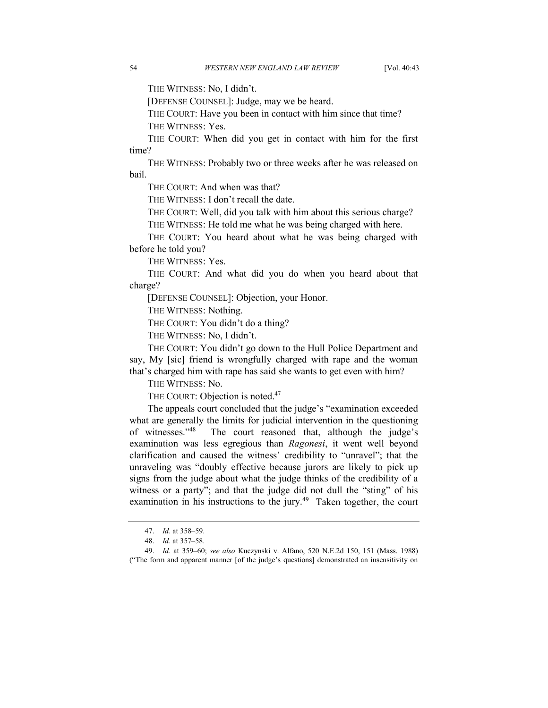THE WITNESS: No, I didn't.

[DEFENSE COUNSEL]: Judge, may we be heard.

 THE COURT: Have you been in contact with him since that time? THE WITNESS: Yes.

 THE COURT: When did you get in contact with him for the first time?

 THE WITNESS: Probably two or three weeks after he was released on bail.

THE COURT: And when was that?

THE WITNESS: I don't recall the date.

THE COURT: Well, did you talk with him about this serious charge?

THE WITNESS: He told me what he was being charged with here.

 THE COURT: You heard about what he was being charged with before he told you?

THE WITNESS: Yes.

 THE COURT: And what did you do when you heard about that charge?

[DEFENSE COUNSEL]: Objection, your Honor.

THE WITNESS: Nothing.

THE COURT: You didn't do a thing?

THE WITNESS: No, I didn't.

 THE COURT: You didn't go down to the Hull Police Department and say, My [sic] friend is wrongfully charged with rape and the woman that's charged him with rape has said she wants to get even with him?

THE WITNESS: No.

THE COURT: Objection is noted.<sup>47</sup>

 The appeals court concluded that the judge's "examination exceeded what are generally the limits for judicial intervention in the questioning of witnesses."48 examination was less egregious than Ragonesi, it went well beyond clarification and caused the witness' credibility to "unravel"; that the unraveling was "doubly effective because jurors are likely to pick up signs from the judge about what the judge thinks of the credibility of a witness or a party"; and that the judge did not dull the "sting" of his examination in his instructions to the jury.<sup>49</sup> Taken together, the court The court reasoned that, although the judge's

<sup>47.</sup> *Id.* at 358–59.

<sup>48.</sup> *Id.* at 357–58.

<sup>49.</sup> Id. at 359-60; see also Kuczynski v. Alfano, 520 N.E.2d 150, 151 (Mass. 1988) ("The form and apparent manner [of the judge's questions] demonstrated an insensitivity on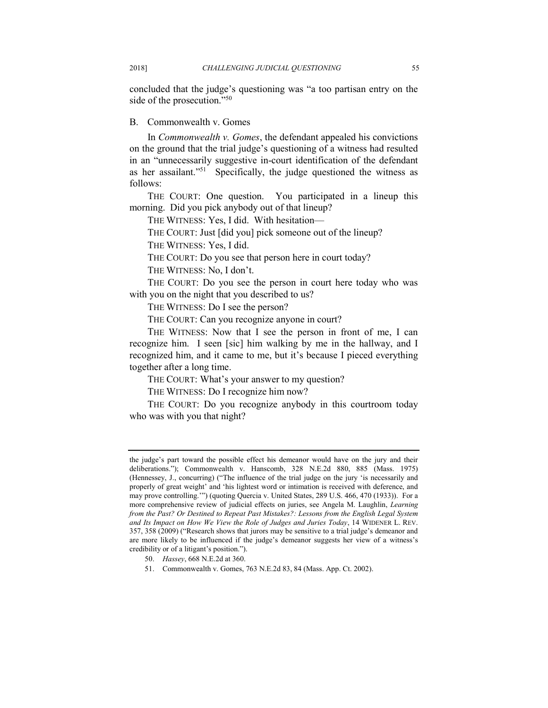concluded that the judge's questioning was "a too partisan entry on the side of the prosecution."<sup>50</sup>

#### B. Commonwealth v. Gomes

In Commonwealth v. Gomes, the defendant appealed his convictions on the ground that the trial judge's questioning of a witness had resulted in an "unnecessarily suggestive in-court identification of the defendant as her assailant."<sup>51</sup> Specifically, the judge questioned the witness as follows:

 THE COURT: One question. You participated in a lineup this morning. Did you pick anybody out of that lineup?

THE WITNESS: Yes, I did. With hesitation—

THE COURT: Just [did you] pick someone out of the lineup?

THE WITNESS: Yes, I did.

THE COURT: Do you see that person here in court today?

THE WITNESS: No, I don't.

 THE COURT: Do you see the person in court here today who was with you on the night that you described to us?

THE WITNESS: Do I see the person?

THE COURT: Can you recognize anyone in court?

 THE WITNESS: Now that I see the person in front of me, I can recognize him. I seen [sic] him walking by me in the hallway, and I recognized him, and it came to me, but it's because I pieced everything together after a long time.

THE COURT: What's your answer to my question?

THE WITNESS: Do I recognize him now?

 THE COURT: Do you recognize anybody in this courtroom today who was with you that night?

 the judge's part toward the possible effect his demeanor would have on the jury and their deliberations."); Commonwealth v. Hanscomb, 328 N.E.2d 880, 885 (Mass. 1975) (Hennessey, J., concurring) ("The influence of the trial judge on the jury 'is necessarily and properly of great weight' and 'his lightest word or intimation is received with deference, and may prove controlling.'") (quoting Quercia v. United States, 289 U.S. 466, 470 (1933)). For a more comprehensive review of judicial effects on juries, see Angela M. Laughlin, Learning from the Past? Or Destined to Repeat Past Mistakes?: Lessons from the English Legal System and Its Impact on How We View the Role of Judges and Juries Today, 14 WIDENER L. REV. 357, 358 (2009) ("Research shows that jurors may be sensitive to a trial judge's demeanor and are more likely to be influenced if the judge's demeanor suggests her view of a witness's credibility or of a litigant's position.").

<sup>50.</sup> Hassey, 668 N.E.2d at 360.

<sup>51.</sup> Commonwealth v. Gomes, 763 N.E.2d 83, 84 (Mass. App. Ct. 2002).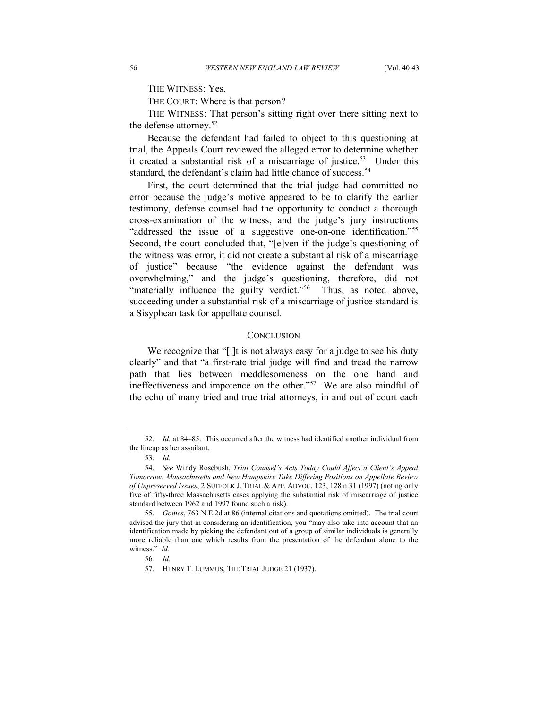THE WITNESS: Yes.

THE COURT: Where is that person?

 THE WITNESS: That person's sitting right over there sitting next to the defense attorney.<sup>52</sup>

 Because the defendant had failed to object to this questioning at trial, the Appeals Court reviewed the alleged error to determine whether it created a substantial risk of a miscarriage of justice.<sup>53</sup> Under this standard, the defendant's claim had little chance of success.<sup>54</sup>

 First, the court determined that the trial judge had committed no error because the judge's motive appeared to be to clarify the earlier testimony, defense counsel had the opportunity to conduct a thorough cross-examination of the witness, and the judge's jury instructions "addressed the issue of a suggestive one-on-one identification."<sup>55</sup> Second, the court concluded that, "[e]ven if the judge's questioning of the witness was error, it did not create a substantial risk of a miscarriage of justice" because "the evidence against the defendant was overwhelming," and the judge's questioning, therefore, did not "materially influence the guilty verdict."<sup>56</sup> Thus, as noted above, succeeding under a substantial risk of a miscarriage of justice standard is a Sisyphean task for appellate counsel.

#### **CONCLUSION**

 We recognize that "[i]t is not always easy for a judge to see his duty clearly" and that "a first-rate trial judge will find and tread the narrow path that lies between meddlesomeness on the one hand and ineffectiveness and impotence on the other."<sup>57</sup> We are also mindful of the echo of many tried and true trial attorneys, in and out of court each

 52. Id. at 84–85. This occurred after the witness had identified another individual from the lineup as her assailant.

 53. Id.

<sup>54.</sup> See Windy Rosebush, Trial Counsel's Acts Today Could Affect a Client's Appeal Tomorrow: Massachusetts and New Hampshire Take Differing Positions on Appellate Review of Unpreserved Issues, 2 SUFFOLK J. TRIAL & APP. ADVOC. 123, 128 n.31 (1997) (noting only five of fifty-three Massachusetts cases applying the substantial risk of miscarriage of justice standard between 1962 and 1997 found such a risk).

 55. Gomes, 763 N.E.2d at 86 (internal citations and quotations omitted). The trial court advised the jury that in considering an identification, you "may also take into account that an identification made by picking the defendant out of a group of similar individuals is generally more reliable than one which results from the presentation of the defendant alone to the witness." *Id.* 

 56. Id.

 57. HENRY T. LUMMUS, THE TRIAL JUDGE 21 (1937).